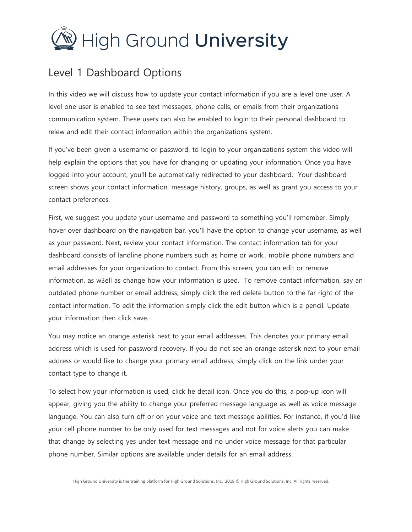

## Level 1 Dashboard Options

In this video we will discuss how to update your contact information if you are a level one user. A level one user is enabled to see text messages, phone calls, or emails from their organizations communication system. These users can also be enabled to login to their personal dashboard to reiew and edit their contact information within the organizations system.

If you've been given a username or password, to login to your organizations system this video will help explain the options that you have for changing or updating your information. Once you have logged into your account, you'll be automatically redirected to your dashboard. Your dashboard screen shows your contact information, message history, groups, as well as grant you access to your contact preferences.

First, we suggest you update your username and password to something you'll remember. Simply hover over dashboard on the navigation bar, you'll have the option to change your username, as well as your password. Next, review your contact information. The contact information tab for your dashboard consists of landline phone numbers such as home or work., mobile phone numbers and email addresses for your organization to contact. From this screen, you can edit or remove information, as w3ell as change how your information is used. To remove contact information, say an outdated phone number or email address, simply click the red delete button to the far right of the contact information. To edit the information simply click the edit button which is a pencil. Update your information then click save.

You may notice an orange asterisk next to your email addresses. This denotes your primary email address which is used for password recovery. If you do not see an orange asterisk next to your email address or would like to change your primary email address, simply click on the link under your contact type to change it.

To select how your information is used, click he detail icon. Once you do this, a pop-up icon will appear, giving you the ability to change your preferred message language as well as voice message language. You can also turn off or on your voice and text message abilities. For instance, if you'd like your cell phone number to be only used for text messages and not for voice alerts you can make that change by selecting yes under text message and no under voice message for that particular phone number. Similar options are available under details for an email address.